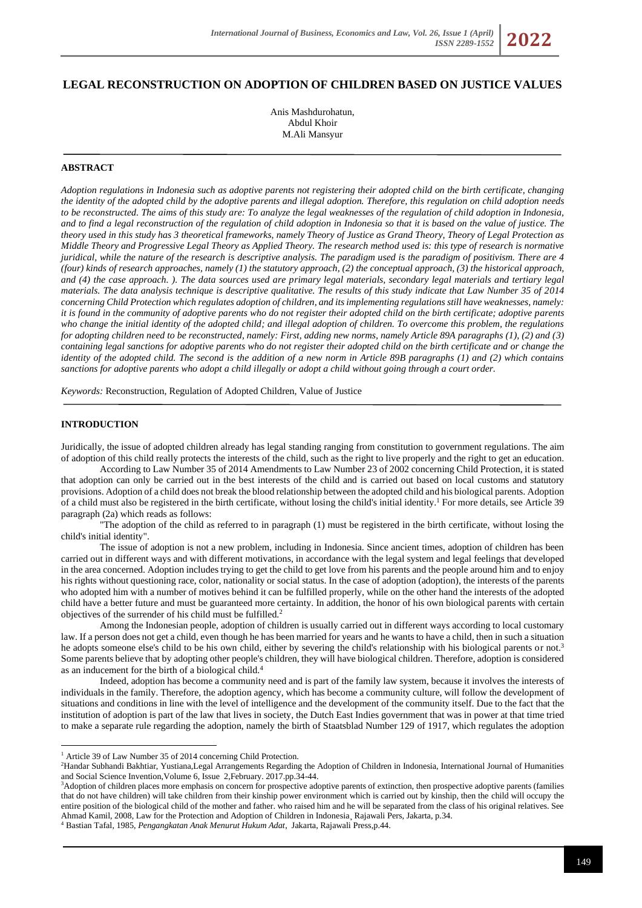# **LEGAL RECONSTRUCTION ON ADOPTION OF CHILDREN BASED ON JUSTICE VALUES**

Anis Mashdurohatun, Abdul Khoir M.Ali Mansyur

## **ABSTRACT**

*Adoption regulations in Indonesia such as adoptive parents not registering their adopted child on the birth certificate, changing the identity of the adopted child by the adoptive parents and illegal adoption. Therefore, this regulation on child adoption needs to be reconstructed. The aims of this study are: To analyze the legal weaknesses of the regulation of child adoption in Indonesia, and to find a legal reconstruction of the regulation of child adoption in Indonesia so that it is based on the value of justice. The theory used in this study has 3 theoretical frameworks, namely Theory of Justice as Grand Theory, Theory of Legal Protection as Middle Theory and Progressive Legal Theory as Applied Theory. The research method used is: this type of research is normative juridical, while the nature of the research is descriptive analysis. The paradigm used is the paradigm of positivism. There are 4 (four) kinds of research approaches, namely (1) the statutory approach, (2) the conceptual approach, (3) the historical approach,*  and (4) the case approach. ). The data sources used are primary legal materials, secondary legal materials and tertiary legal *materials. The data analysis technique is descriptive qualitative. The results of this study indicate that Law Number 35 of 2014 concerning Child Protection which regulates adoption of children, and its implementing regulations still have weaknesses, namely: it is found in the community of adoptive parents who do not register their adopted child on the birth certificate; adoptive parents who change the initial identity of the adopted child; and illegal adoption of children. To overcome this problem, the regulations for adopting children need to be reconstructed, namely: First, adding new norms, namely Article 89A paragraphs (1), (2) and (3) containing legal sanctions for adoptive parents who do not register their adopted child on the birth certificate and or change the identity of the adopted child. The second is the addition of a new norm in Article 89B paragraphs (1) and (2) which contains sanctions for adoptive parents who adopt a child illegally or adopt a child without going through a court order.*

*Keywords:* Reconstruction, Regulation of Adopted Children, Value of Justice

# **INTRODUCTION**

Juridically, the issue of adopted children already has legal standing ranging from constitution to government regulations. The aim of adoption of this child really protects the interests of the child, such as the right to live properly and the right to get an education.

According to Law Number 35 of 2014 Amendments to Law Number 23 of 2002 concerning Child Protection, it is stated that adoption can only be carried out in the best interests of the child and is carried out based on local customs and statutory provisions. Adoption of a child does not break the blood relationship between the adopted child and his biological parents. Adoption of a child must also be registered in the birth certificate, without losing the child's initial identity.<sup>1</sup> For more details, see Article 39 paragraph (2a) which reads as follows:

"The adoption of the child as referred to in paragraph (1) must be registered in the birth certificate, without losing the child's initial identity".

The issue of adoption is not a new problem, including in Indonesia. Since ancient times, adoption of children has been carried out in different ways and with different motivations, in accordance with the legal system and legal feelings that developed in the area concerned. Adoption includes trying to get the child to get love from his parents and the people around him and to enjoy his rights without questioning race, color, nationality or social status. In the case of adoption (adoption), the interests of the parents who adopted him with a number of motives behind it can be fulfilled properly, while on the other hand the interests of the adopted child have a better future and must be guaranteed more certainty. In addition, the honor of his own biological parents with certain objectives of the surrender of his child must be fulfilled.<sup>2</sup>

Among the Indonesian people, adoption of children is usually carried out in different ways according to local customary law. If a person does not get a child, even though he has been married for years and he wants to have a child, then in such a situation he adopts someone else's child to be his own child, either by severing the child's relationship with his biological parents or not.<sup>3</sup> Some parents believe that by adopting other people's children, they will have biological children. Therefore, adoption is considered as an inducement for the birth of a biological child.<sup>4</sup>

Indeed, adoption has become a community need and is part of the family law system, because it involves the interests of individuals in the family. Therefore, the adoption agency, which has become a community culture, will follow the development of situations and conditions in line with the level of intelligence and the development of the community itself. Due to the fact that the institution of adoption is part of the law that lives in society, the Dutch East Indies government that was in power at that time tried to make a separate rule regarding the adoption, namely the birth of Staatsblad Number 129 of 1917, which regulates the adoption

<sup>4</sup> Bastian Tafal, 1985, *Pengangkatan Anak Menurut Hukum Adat*, Jakarta, Rajawali Press,p.44.

<sup>&</sup>lt;sup>1</sup> Article 39 of Law Number 35 of 2014 concerning Child Protection.

<sup>2</sup>Handar Subhandi Bakhtiar, Yustiana,Legal Arrangements Regarding the Adoption of Children in Indonesia, International Journal of Humanities and Social Science Invention,Volume 6, Issue 2,February. 2017.pp.34-44.

<sup>&</sup>lt;sup>3</sup>Adoption of children places more emphasis on concern for prospective adoptive parents of extinction, then prospective adoptive parents (families that do not have children) will take children from their kinship power environment which is carried out by kinship, then the child will occupy the entire position of the biological child of the mother and father. who raised him and he will be separated from the class of his original relatives. See Ahmad Kamil, 2008, Law for the Protection and Adoption of Children in Indonesia¸ Rajawali Pers, Jakarta, p.34.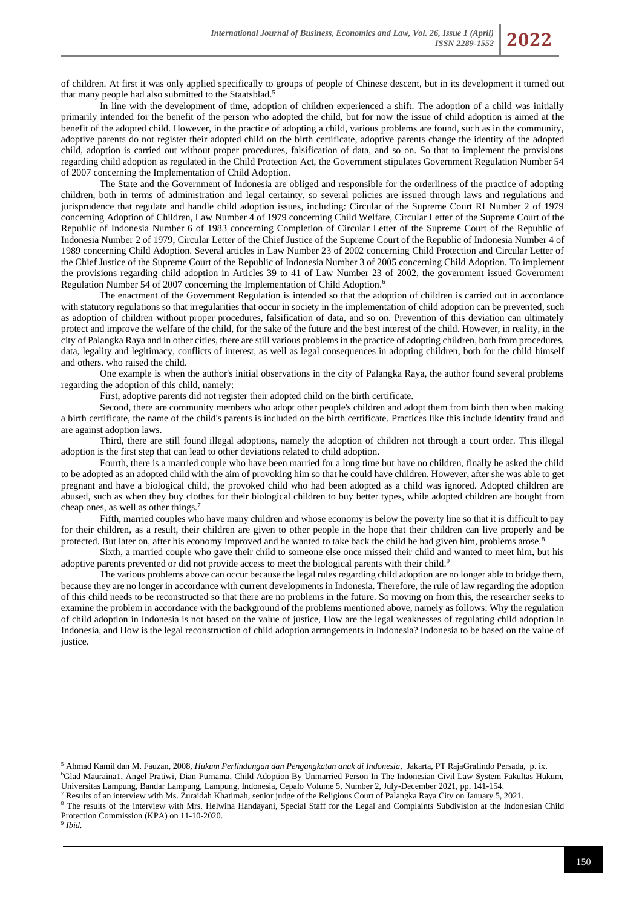of children. At first it was only applied specifically to groups of people of Chinese descent, but in its development it turned out that many people had also submitted to the Staatsblad.<sup>5</sup>

In line with the development of time, adoption of children experienced a shift. The adoption of a child was initially primarily intended for the benefit of the person who adopted the child, but for now the issue of child adoption is aimed at the benefit of the adopted child. However, in the practice of adopting a child, various problems are found, such as in the community, adoptive parents do not register their adopted child on the birth certificate, adoptive parents change the identity of the adopted child, adoption is carried out without proper procedures, falsification of data, and so on. So that to implement the provisions regarding child adoption as regulated in the Child Protection Act, the Government stipulates Government Regulation Number 54 of 2007 concerning the Implementation of Child Adoption.

The State and the Government of Indonesia are obliged and responsible for the orderliness of the practice of adopting children, both in terms of administration and legal certainty, so several policies are issued through laws and regulations and jurisprudence that regulate and handle child adoption issues, including: Circular of the Supreme Court RI Number 2 of 1979 concerning Adoption of Children, Law Number 4 of 1979 concerning Child Welfare, Circular Letter of the Supreme Court of the Republic of Indonesia Number 6 of 1983 concerning Completion of Circular Letter of the Supreme Court of the Republic of Indonesia Number 2 of 1979, Circular Letter of the Chief Justice of the Supreme Court of the Republic of Indonesia Number 4 of 1989 concerning Child Adoption. Several articles in Law Number 23 of 2002 concerning Child Protection and Circular Letter of the Chief Justice of the Supreme Court of the Republic of Indonesia Number 3 of 2005 concerning Child Adoption. To implement the provisions regarding child adoption in Articles 39 to 41 of Law Number 23 of 2002, the government issued Government Regulation Number 54 of 2007 concerning the Implementation of Child Adoption.<sup>6</sup>

The enactment of the Government Regulation is intended so that the adoption of children is carried out in accordance with statutory regulations so that irregularities that occur in society in the implementation of child adoption can be prevented, such as adoption of children without proper procedures, falsification of data, and so on. Prevention of this deviation can ultimately protect and improve the welfare of the child, for the sake of the future and the best interest of the child. However, in reality, in the city of Palangka Raya and in other cities, there are still various problems in the practice of adopting children, both from procedures, data, legality and legitimacy, conflicts of interest, as well as legal consequences in adopting children, both for the child himself and others. who raised the child.

One example is when the author's initial observations in the city of Palangka Raya, the author found several problems regarding the adoption of this child, namely:

First, adoptive parents did not register their adopted child on the birth certificate.

Second, there are community members who adopt other people's children and adopt them from birth then when making a birth certificate, the name of the child's parents is included on the birth certificate. Practices like this include identity fraud and are against adoption laws.

Third, there are still found illegal adoptions, namely the adoption of children not through a court order. This illegal adoption is the first step that can lead to other deviations related to child adoption.

Fourth, there is a married couple who have been married for a long time but have no children, finally he asked the child to be adopted as an adopted child with the aim of provoking him so that he could have children. However, after she was able to get pregnant and have a biological child, the provoked child who had been adopted as a child was ignored. Adopted children are abused, such as when they buy clothes for their biological children to buy better types, while adopted children are bought from cheap ones, as well as other things.<sup>7</sup>

Fifth, married couples who have many children and whose economy is below the poverty line so that it is difficult to pay for their children, as a result, their children are given to other people in the hope that their children can live properly and be protected. But later on, after his economy improved and he wanted to take back the child he had given him, problems arose.<sup>8</sup>

Sixth, a married couple who gave their child to someone else once missed their child and wanted to meet him, but his adoptive parents prevented or did not provide access to meet the biological parents with their child.<sup>9</sup>

The various problems above can occur because the legal rules regarding child adoption are no longer able to bridge them, because they are no longer in accordance with current developments in Indonesia. Therefore, the rule of law regarding the adoption of this child needs to be reconstructed so that there are no problems in the future. So moving on from this, the researcher seeks to examine the problem in accordance with the background of the problems mentioned above, namely as follows: Why the regulation of child adoption in Indonesia is not based on the value of justice, How are the legal weaknesses of regulating child adoption in Indonesia, and How is the legal reconstruction of child adoption arrangements in Indonesia? Indonesia to be based on the value of justice.

<sup>5</sup> Ahmad Kamil dan M. Fauzan, 2008, *Hukum Perlindungan dan Pengangkatan anak di Indonesia*, Jakarta, PT RajaGrafindo Persada, p. ix. <sup>6</sup>Glad Mauraina1, Angel Pratiwi, Dian Purnama, Child Adoption By Unmarried Person In The Indonesian Civil Law System Fakultas Hukum,

Universitas Lampung, Bandar Lampung, Lampung, Indonesia, Cepalo Volume 5, Number 2, July-December 2021, pp. 141-154.

<sup>7</sup> Results of an interview with Ms. Zuraidah Khatimah, senior judge of the Religious Court of Palangka Raya City on January 5, 2021.

<sup>8</sup> The results of the interview with Mrs. Helwina Handayani, Special Staff for the Legal and Complaints Subdivision at the Indonesian Child Protection Commission (KPA) on 11-10-2020.

9 *Ibid.*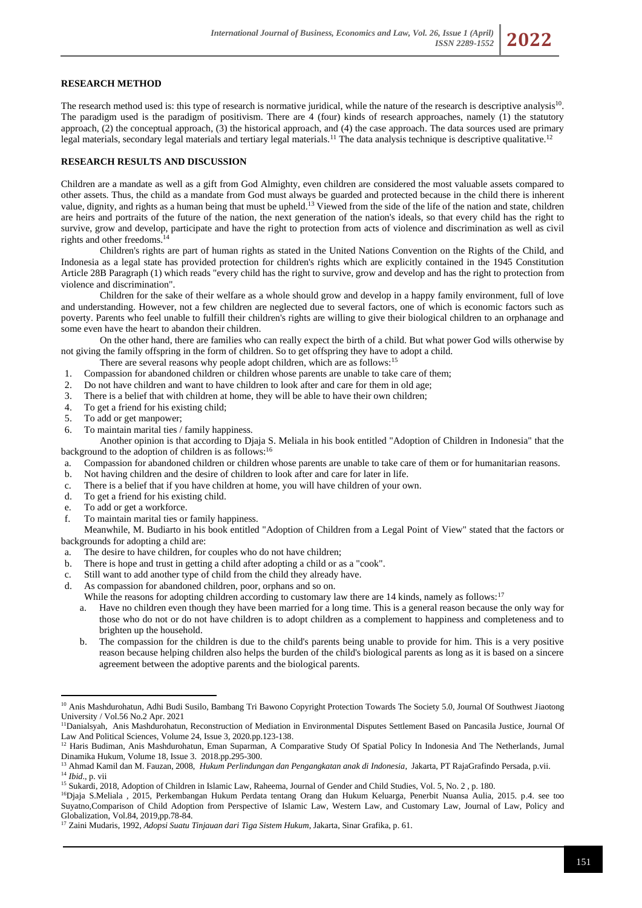## **RESEARCH METHOD**

The research method used is: this type of research is normative juridical, while the nature of the research is descriptive analysis<sup>10</sup>. The paradigm used is the paradigm of positivism. There are 4 (four) kinds of research approaches, namely (1) the statutory approach, (2) the conceptual approach, (3) the historical approach, and (4) the case approach. The data sources used are primary legal materials, secondary legal materials and tertiary legal materials.<sup>11</sup> The data analysis technique is descriptive qualitative.<sup>12</sup>

# **RESEARCH RESULTS AND DISCUSSION**

Children are a mandate as well as a gift from God Almighty, even children are considered the most valuable assets compared to other assets. Thus, the child as a mandate from God must always be guarded and protected because in the child there is inherent value, dignity, and rights as a human being that must be upheld.<sup>13</sup> Viewed from the side of the life of the nation and state, children are heirs and portraits of the future of the nation, the next generation of the nation's ideals, so that every child has the right to survive, grow and develop, participate and have the right to protection from acts of violence and discrimination as well as civil rights and other freedoms.<sup>1</sup>

Children's rights are part of human rights as stated in the United Nations Convention on the Rights of the Child, and Indonesia as a legal state has provided protection for children's rights which are explicitly contained in the 1945 Constitution Article 28B Paragraph (1) which reads "every child has the right to survive, grow and develop and has the right to protection from violence and discrimination".

Children for the sake of their welfare as a whole should grow and develop in a happy family environment, full of love and understanding. However, not a few children are neglected due to several factors, one of which is economic factors such as poverty. Parents who feel unable to fulfill their children's rights are willing to give their biological children to an orphanage and some even have the heart to abandon their children.

On the other hand, there are families who can really expect the birth of a child. But what power God wills otherwise by not giving the family offspring in the form of children. So to get offspring they have to adopt a child.

There are several reasons why people adopt children, which are as follows:<sup>15</sup>

- 1. Compassion for abandoned children or children whose parents are unable to take care of them;
- 2. Do not have children and want to have children to look after and care for them in old age;
- 3. There is a belief that with children at home, they will be able to have their own children;
- 4. To get a friend for his existing child;<br>5. To add or get manpower;
- To add or get manpower;
- 6. To maintain marital ties / family happiness.

Another opinion is that according to Djaja S. Meliala in his book entitled "Adoption of Children in Indonesia" that the background to the adoption of children is as follows:<sup>16</sup>

- a. Compassion for abandoned children or children whose parents are unable to take care of them or for humanitarian reasons.
- b. Not having children and the desire of children to look after and care for later in life.
- c. There is a belief that if you have children at home, you will have children of your own.
- d. To get a friend for his existing child.
- e. To add or get a workforce.
- f. To maintain marital ties or family happiness.

Meanwhile, M. Budiarto in his book entitled "Adoption of Children from a Legal Point of View" stated that the factors or backgrounds for adopting a child are:

- a. The desire to have children, for couples who do not have children;
- b. There is hope and trust in getting a child after adopting a child or as a "cook".
- c. Still want to add another type of child from the child they already have.
- d. As compassion for abandoned children, poor, orphans and so on.
- While the reasons for adopting children according to customary law there are 14 kinds, namely as follows:<sup>17</sup>
	- a. Have no children even though they have been married for a long time. This is a general reason because the only way for those who do not or do not have children is to adopt children as a complement to happiness and completeness and to brighten up the household.
	- b. The compassion for the children is due to the child's parents being unable to provide for him. This is a very positive reason because helping children also helps the burden of the child's biological parents as long as it is based on a sincere agreement between the adoptive parents and the biological parents.

<sup>&</sup>lt;sup>10</sup> Anis Mashdurohatun, Adhi Budi Susilo, Bambang Tri Bawono Copyright Protection Towards The Society 5.0, Journal Of Southwest Jiaotong University / Vol.56 No.2 Apr. 2021

<sup>&</sup>lt;sup>11</sup>Danialsyah, Anis Mashdurohatun, Reconstruction of Mediation in Environmental Disputes Settlement Based on Pancasila Justice, Journal Of Law And Political Sciences, Volume 24, Issue 3, 2020.pp.123-138.

<sup>&</sup>lt;sup>12</sup> Haris Budiman, Anis Mashdurohatun, Eman Suparman, [A Comparative Study Of Spatial Policy In Indonesia And The Netherlands,](http://dinamikahukum.fh.unsoed.ac.id/index.php/JDH/article/view/2154) Jurnal Dinamika Hukum, Volume 18, Issue 3. 2018.pp.295-300.

<sup>13</sup> Ahmad Kamil dan M. Fauzan, 2008, *Hukum Perlindungan dan Pengangkatan anak di Indonesia*, Jakarta, PT RajaGrafindo Persada, p.vii. <sup>14</sup> *Ibid*., p. vii

<sup>&</sup>lt;sup>15</sup> Sukardi, 2018, Adoption of Children in Islamic Law, Raheema, Journal of Gender and Child Studies, Vol. 5, No. 2, p. 180.

<sup>16</sup>Djaja S.Meliala , 2015, Perkembangan Hukum Perdata tentang Orang dan Hukum Keluarga, Penerbit Nuansa Aulia, 2015. p.4. see too Suyatno,Comparison of Child Adoption from Perspective of Islamic Law, Western Law, and Customary Law, Journal of Law, Policy and Globalization, Vol.84, 2019,pp.78-84.

<sup>17</sup> Zaini Mudaris, 1992, *Adopsi Suatu Tinjauan dari Tiga Sistem Hukum*, Jakarta, Sinar Grafika, p. 61.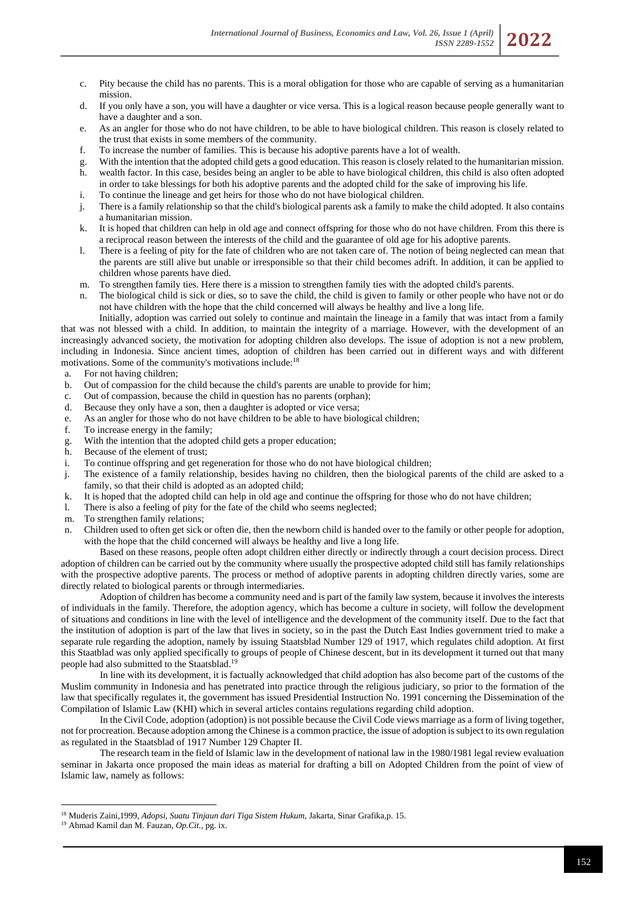- c. Pity because the child has no parents. This is a moral obligation for those who are capable of serving as a humanitarian mission.
- d. If you only have a son, you will have a daughter or vice versa. This is a logical reason because people generally want to have a daughter and a son.
- e. As an angler for those who do not have children, to be able to have biological children. This reason is closely related to the trust that exists in some members of the community.
- f. To increase the number of families. This is because his adoptive parents have a lot of wealth.
- g. With the intention that the adopted child gets a good education. This reason is closely related to the humanitarian mission. h. wealth factor. In this case, besides being an angler to be able to have biological children, this child is also often adopted in order to take blessings for both his adoptive parents and the adopted child for the sake of improving his life.
- i. To continue the lineage and get heirs for those who do not have biological children.
- j. There is a family relationship so that the child's biological parents ask a family to make the child adopted. It also contains a humanitarian mission.
- k. It is hoped that children can help in old age and connect offspring for those who do not have children. From this there is a reciprocal reason between the interests of the child and the guarantee of old age for his adoptive parents.
- l. There is a feeling of pity for the fate of children who are not taken care of. The notion of being neglected can mean that the parents are still alive but unable or irresponsible so that their child becomes adrift. In addition, it can be applied to children whose parents have died.
- m. To strengthen family ties. Here there is a mission to strengthen family ties with the adopted child's parents.
- n. The biological child is sick or dies, so to save the child, the child is given to family or other people who have not or do not have children with the hope that the child concerned will always be healthy and live a long life.

Initially, adoption was carried out solely to continue and maintain the lineage in a family that was intact from a family that was not blessed with a child. In addition, to maintain the integrity of a marriage. However, with the development of an increasingly advanced society, the motivation for adopting children also develops. The issue of adoption is not a new problem, including in Indonesia. Since ancient times, adoption of children has been carried out in different ways and with different motivations. Some of the community's motivations include:<sup>18</sup>

- a. For not having children;
- b. Out of compassion for the child because the child's parents are unable to provide for him;
- c. Out of compassion, because the child in question has no parents (orphan);
- d. Because they only have a son, then a daughter is adopted or vice versa;
- e. As an angler for those who do not have children to be able to have biological children;
- f. To increase energy in the family;
- g. With the intention that the adopted child gets a proper education;
- h. Because of the element of trust;
- i. To continue offspring and get regeneration for those who do not have biological children;
- j. The existence of a family relationship, besides having no children, then the biological parents of the child are asked to a family, so that their child is adopted as an adopted child;
- k. It is hoped that the adopted child can help in old age and continue the offspring for those who do not have children;
- l. There is also a feeling of pity for the fate of the child who seems neglected;
- m. To strengthen family relations;
- n. Children used to often get sick or often die, then the newborn child is handed over to the family or other people for adoption, with the hope that the child concerned will always be healthy and live a long life.

Based on these reasons, people often adopt children either directly or indirectly through a court decision process. Direct adoption of children can be carried out by the community where usually the prospective adopted child still has family relationships with the prospective adoptive parents. The process or method of adoptive parents in adopting children directly varies, some are directly related to biological parents or through intermediaries.

Adoption of children has become a community need and is part of the family law system, because it involves the interests of individuals in the family. Therefore, the adoption agency, which has become a culture in society, will follow the development of situations and conditions in line with the level of intelligence and the development of the community itself. Due to the fact that the institution of adoption is part of the law that lives in society, so in the past the Dutch East Indies government tried to make a separate rule regarding the adoption, namely by issuing Staatsblad Number 129 of 1917, which regulates child adoption. At first this Staatblad was only applied specifically to groups of people of Chinese descent, but in its development it turned out that many people had also submitted to the Staatsblad.<sup>19</sup>

In line with its development, it is factually acknowledged that child adoption has also become part of the customs of the Muslim community in Indonesia and has penetrated into practice through the religious judiciary, so prior to the formation of the law that specifically regulates it, the government has issued Presidential Instruction No. 1991 concerning the Dissemination of the Compilation of Islamic Law (KHI) which in several articles contains regulations regarding child adoption.

In the Civil Code, adoption (adoption) is not possible because the Civil Code views marriage as a form of living together, not for procreation. Because adoption among the Chinese is a common practice, the issue of adoption is subject to its own regulation as regulated in the Staatsblad of 1917 Number 129 Chapter II.

The research team in the field of Islamic law in the development of national law in the 1980/1981 legal review evaluation seminar in Jakarta once proposed the main ideas as material for drafting a bill on Adopted Children from the point of view of Islamic law, namely as follows:

<sup>18</sup> Muderis Zaini,1999, *Adopsi, Suatu Tinjaun dari Tiga Sistem Hukum,* Jakarta, Sinar Grafika,p. 15.

<sup>19</sup> Ahmad Kamil dan M. Fauzan, *Op.Cit.,* pg. ix.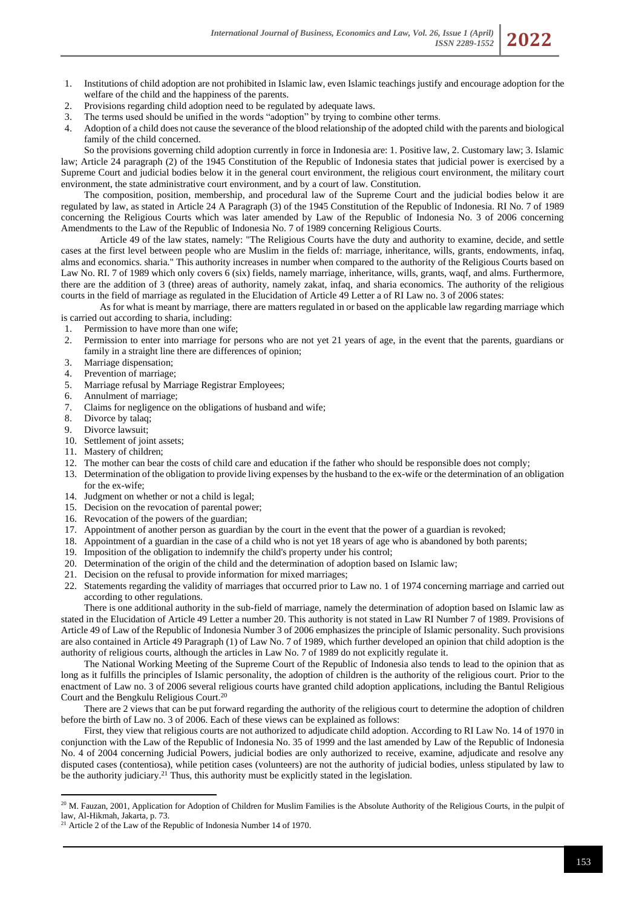- 1. Institutions of child adoption are not prohibited in Islamic law, even Islamic teachings justify and encourage adoption for the welfare of the child and the happiness of the parents.
- 2. Provisions regarding child adoption need to be regulated by adequate laws.
- 3. The terms used should be unified in the words "adoption" by trying to combine other terms.<br>4. Adoption of a child does not cause the severance of the blood relationship of the adopted child
- 4. Adoption of a child does not cause the severance of the blood relationship of the adopted child with the parents and biological family of the child concerned.

So the provisions governing child adoption currently in force in Indonesia are: 1. Positive law, 2. Customary law; 3. Islamic law; Article 24 paragraph (2) of the 1945 Constitution of the Republic of Indonesia states that judicial power is exercised by a Supreme Court and judicial bodies below it in the general court environment, the religious court environment, the military court environment, the state administrative court environment, and by a court of law. Constitution.

The composition, position, membership, and procedural law of the Supreme Court and the judicial bodies below it are regulated by law, as stated in Article 24 A Paragraph (3) of the 1945 Constitution of the Republic of Indonesia. RI No. 7 of 1989 concerning the Religious Courts which was later amended by Law of the Republic of Indonesia No. 3 of 2006 concerning Amendments to the Law of the Republic of Indonesia No. 7 of 1989 concerning Religious Courts.

Article 49 of the law states, namely: "The Religious Courts have the duty and authority to examine, decide, and settle cases at the first level between people who are Muslim in the fields of: marriage, inheritance, wills, grants, endowments, infaq, alms and economics. sharia." This authority increases in number when compared to the authority of the Religious Courts based on Law No. RI. 7 of 1989 which only covers 6 (six) fields, namely marriage, inheritance, wills, grants, waqf, and alms. Furthermore, there are the addition of 3 (three) areas of authority, namely zakat, infaq, and sharia economics. The authority of the religious courts in the field of marriage as regulated in the Elucidation of Article 49 Letter a of RI Law no. 3 of 2006 states:

As for what is meant by marriage, there are matters regulated in or based on the applicable law regarding marriage which is carried out according to sharia, including:

- 1. Permission to have more than one wife;
- 2. Permission to enter into marriage for persons who are not yet 21 years of age, in the event that the parents, guardians or family in a straight line there are differences of opinion;
- 3. Marriage dispensation;
- 4. Prevention of marriage;
- 5. Marriage refusal by Marriage Registrar Employees;
- 6. Annulment of marriage;
- 7. Claims for negligence on the obligations of husband and wife;
- Divorce by talaq;
- 9. Divorce lawsuit;
- 10. Settlement of joint assets;
- 11. Mastery of children;
- 12. The mother can bear the costs of child care and education if the father who should be responsible does not comply;
- 13. Determination of the obligation to provide living expenses by the husband to the ex-wife or the determination of an obligation for the ex-wife;
- 14. Judgment on whether or not a child is legal;
- 15. Decision on the revocation of parental power;
- 16. Revocation of the powers of the guardian;
- 17. Appointment of another person as guardian by the court in the event that the power of a guardian is revoked;
- 18. Appointment of a guardian in the case of a child who is not yet 18 years of age who is abandoned by both parents;
- 19. Imposition of the obligation to indemnify the child's property under his control;
- 20. Determination of the origin of the child and the determination of adoption based on Islamic law;
- 21. Decision on the refusal to provide information for mixed marriages;
- 22. Statements regarding the validity of marriages that occurred prior to Law no. 1 of 1974 concerning marriage and carried out according to other regulations.

There is one additional authority in the sub-field of marriage, namely the determination of adoption based on Islamic law as stated in the Elucidation of Article 49 Letter a number 20. This authority is not stated in Law RI Number 7 of 1989. Provisions of Article 49 of Law of the Republic of Indonesia Number 3 of 2006 emphasizes the principle of Islamic personality. Such provisions are also contained in Article 49 Paragraph (1) of Law No. 7 of 1989, which further developed an opinion that child adoption is the authority of religious courts, although the articles in Law No. 7 of 1989 do not explicitly regulate it.

The National Working Meeting of the Supreme Court of the Republic of Indonesia also tends to lead to the opinion that as long as it fulfills the principles of Islamic personality, the adoption of children is the authority of the religious court. Prior to the enactment of Law no. 3 of 2006 several religious courts have granted child adoption applications, including the Bantul Religious Court and the Bengkulu Religious Court.<sup>20</sup>

There are 2 views that can be put forward regarding the authority of the religious court to determine the adoption of children before the birth of Law no. 3 of 2006. Each of these views can be explained as follows:

First, they view that religious courts are not authorized to adjudicate child adoption. According to RI Law No. 14 of 1970 in conjunction with the Law of the Republic of Indonesia No. 35 of 1999 and the last amended by Law of the Republic of Indonesia No. 4 of 2004 concerning Judicial Powers, judicial bodies are only authorized to receive, examine, adjudicate and resolve any disputed cases (contentiosa), while petition cases (volunteers) are not the authority of judicial bodies, unless stipulated by law to be the authority judiciary.<sup>21</sup> Thus, this authority must be explicitly stated in the legislation.

<sup>&</sup>lt;sup>20</sup> M. Fauzan, 2001, Application for Adoption of Children for Muslim Families is the Absolute Authority of the Religious Courts, in the pulpit of law, Al-Hikmah, Jakarta, p. 73.

 $21$  Article 2 of the Law of the Republic of Indonesia Number 14 of 1970.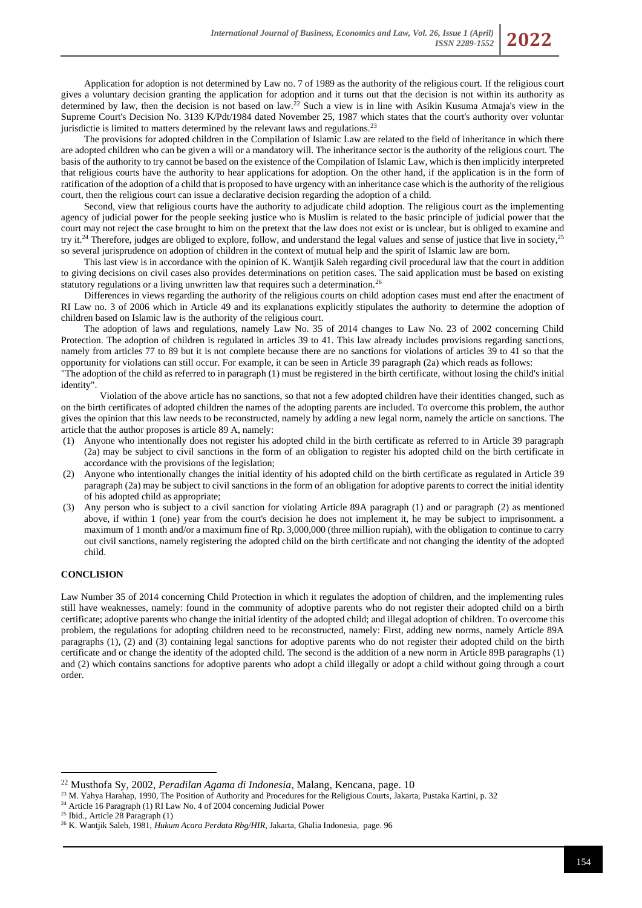Application for adoption is not determined by Law no. 7 of 1989 as the authority of the religious court. If the religious court gives a voluntary decision granting the application for adoption and it turns out that the decision is not within its authority as determined by law, then the decision is not based on law.<sup>22</sup> Such a view is in line with Asikin Kusuma Atmaja's view in the Supreme Court's Decision No. 3139 K/Pdt/1984 dated November 25, 1987 which states that the court's authority over voluntar jurisdictie is limited to matters determined by the relevant laws and regulations.<sup>23</sup>

The provisions for adopted children in the Compilation of Islamic Law are related to the field of inheritance in which there are adopted children who can be given a will or a mandatory will. The inheritance sector is the authority of the religious court. The basis of the authority to try cannot be based on the existence of the Compilation of Islamic Law, which is then implicitly interpreted that religious courts have the authority to hear applications for adoption. On the other hand, if the application is in the form of ratification of the adoption of a child that is proposed to have urgency with an inheritance case which is the authority of the religious court, then the religious court can issue a declarative decision regarding the adoption of a child.

Second, view that religious courts have the authority to adjudicate child adoption. The religious court as the implementing agency of judicial power for the people seeking justice who is Muslim is related to the basic principle of judicial power that the court may not reject the case brought to him on the pretext that the law does not exist or is unclear, but is obliged to examine and try it.<sup>24</sup> Therefore, judges are obliged to explore, follow, and understand the legal values and sense of justice that live in society,<sup>25</sup> so several jurisprudence on adoption of children in the context of mutual help and the spirit of Islamic law are born.

This last view is in accordance with the opinion of K. Wantjik Saleh regarding civil procedural law that the court in addition to giving decisions on civil cases also provides determinations on petition cases. The said application must be based on existing statutory regulations or a living unwritten law that requires such a determination.<sup>26</sup>

Differences in views regarding the authority of the religious courts on child adoption cases must end after the enactment of RI Law no. 3 of 2006 which in Article 49 and its explanations explicitly stipulates the authority to determine the adoption of children based on Islamic law is the authority of the religious court.

The adoption of laws and regulations, namely Law No. 35 of 2014 changes to Law No. 23 of 2002 concerning Child Protection. The adoption of children is regulated in articles 39 to 41. This law already includes provisions regarding sanctions, namely from articles 77 to 89 but it is not complete because there are no sanctions for violations of articles 39 to 41 so that the opportunity for violations can still occur. For example, it can be seen in Article 39 paragraph (2a) which reads as follows:

"The adoption of the child as referred to in paragraph (1) must be registered in the birth certificate, without losing the child's initial identity".

Violation of the above article has no sanctions, so that not a few adopted children have their identities changed, such as on the birth certificates of adopted children the names of the adopting parents are included. To overcome this problem, the author gives the opinion that this law needs to be reconstructed, namely by adding a new legal norm, namely the article on sanctions. The article that the author proposes is article 89 A, namely:

- (1) Anyone who intentionally does not register his adopted child in the birth certificate as referred to in Article 39 paragraph (2a) may be subject to civil sanctions in the form of an obligation to register his adopted child on the birth certificate in accordance with the provisions of the legislation;
- (2) Anyone who intentionally changes the initial identity of his adopted child on the birth certificate as regulated in Article 39 paragraph (2a) may be subject to civil sanctions in the form of an obligation for adoptive parents to correct the initial identity of his adopted child as appropriate;
- (3) Any person who is subject to a civil sanction for violating Article 89A paragraph (1) and or paragraph (2) as mentioned above, if within 1 (one) year from the court's decision he does not implement it, he may be subject to imprisonment. a maximum of 1 month and/or a maximum fine of Rp. 3,000,000 (three million rupiah), with the obligation to continue to carry out civil sanctions, namely registering the adopted child on the birth certificate and not changing the identity of the adopted child.

## **CONCLISION**

Law Number 35 of 2014 concerning Child Protection in which it regulates the adoption of children, and the implementing rules still have weaknesses, namely: found in the community of adoptive parents who do not register their adopted child on a birth certificate; adoptive parents who change the initial identity of the adopted child; and illegal adoption of children. To overcome this problem, the regulations for adopting children need to be reconstructed, namely: First, adding new norms, namely Article 89A paragraphs (1), (2) and (3) containing legal sanctions for adoptive parents who do not register their adopted child on the birth certificate and or change the identity of the adopted child. The second is the addition of a new norm in Article 89B paragraphs (1) and (2) which contains sanctions for adoptive parents who adopt a child illegally or adopt a child without going through a court order.

<sup>22</sup> Musthofa Sy, 2002, *Peradilan Agama di Indonesia*, Malang, Kencana, page. 10

<sup>&</sup>lt;sup>23</sup> M. Yahya Harahap, 1990, The Position of Authority and Procedures for the Religious Courts, Jakarta, Pustaka Kartini, p. 32

<sup>&</sup>lt;sup>24</sup> Article 16 Paragraph (1) RI Law No. 4 of 2004 concerning Judicial Power

<sup>25</sup> Ibid., Article 28 Paragraph (1)

<sup>26</sup> K. Wantjik Saleh, 1981, *Hukum Acara Perdata Rbg/HIR*, Jakarta, Ghalia Indonesia, page. 96